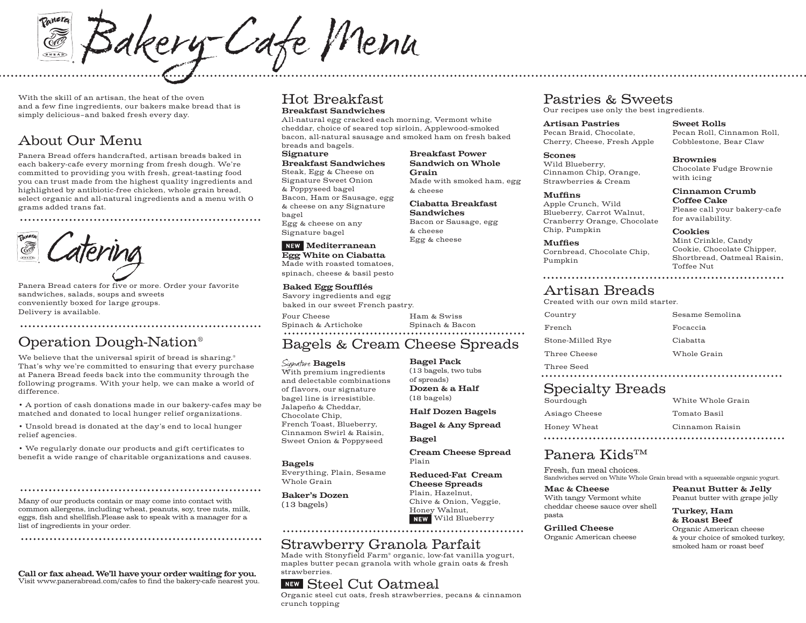mere Bakery-Cafe Menu BREAD

With the skill of an artisan, the heat of the oven and a few fine ingredients, our bakers make bread that is simply delicious–and baked fresh every day.

# About Our Menu

Panera Bread offers handcrafted, artisan breads baked in each bakery-cafe every morning from fresh dough. We're committed to providing you with fresh, great-tasting food you can trust made from the highest quality ingredients and highlighted by antibiotic-free chicken, whole grain bread, select organic and all-natural ingredients and a menu with 0 grams added trans fat.

Panera Bread caters for five or more. Order your favorite sandwiches, salads, soups and sweets conveniently boxed for large groups. Delivery is available.

# Operation Dough-Nation®

We believe that the universal spirit of bread is sharing.<sup>®</sup> That's why we're committed to ensuring that every purchase at Panera Bread feeds back into the community through the following programs. With your help, we can make a world of difference.

• A portion of cash donations made in our bakery-cafes may be matched and donated to local hunger relief organizations.

• Unsold bread is donated at the day's end to local hunger relief agencies.

• We regularly donate our products and gift certificates to benefit a wide range of charitable organizations and causes.

Many of our products contain or may come into contact with common allergens, including wheat, peanuts, soy, tree nuts, milk, eggs, fish and shellfish.Please ask to speak with a manager for a list of ingredients in your order.

Call or fax ahead. We'll have your order waiting for you. Visit www.panerabread.com/cafes to find the bakery-cafe nearest you.

### Hot Breakfast Breakfast Sandwiches

All-natural egg cracked each morning, Vermont white cheddar, choice of seared top sirloin, Applewood-smoked bacon, all-natural sausage and smoked ham on fresh baked breads and bagels.

### Signature

Breakfast Sandwiches Steak, Egg & Cheese on Signature Sweet Onion & Poppyseed bagel Bacon, Ham or Sausage, egg & cheese on any Signature bagel Egg & cheese on any Signature bagel

### NEW Mediterranean

Egg White on Ciabatta Made with roasted tomatoes, spinach, cheese & basil pesto

#### Baked Egg Soufflés

Savory ingredients and egg baked in our sweet French pastry.

Four Cheese Spinach & Artichoke

# Spinach & Bacon

Bagel Pack (13 bagels, two tubs of spreads) Dozen & a Half (18 bagels)

Ham & Swiss

Breakfast Power Sandwich on Whole

Made with smoked ham, egg

Ciabatta Breakfast Sandwiches Bacon or Sausage, egg

Grain

& cheese

& cheese Egg & cheese

# Bagels & Cream Cheese Spreads

#### Signature **Bagels**

With premium ingredients and delectable combinations of flavors, our signature bagel line is irresistible. Jalapeño & Cheddar, Chocolate Chip, French Toast, Blueberry, Cinnamon Swirl & Raisin, Sweet Onion & Poppyseed

#### Bagels

Everything, Plain, Sesame Whole Grain

Baker's Dozen (13 bagels)

#### Plain, Hazelnut, Chive & Onion, Veggie,

## Strawberry Granola Parfait

Made with Stonyfield Farm® organic, low-fat vanilla yogurt, maples butter pecan granola with whole grain oats & fresh strawberries.

## **NEW Steel Cut Oatmeal**

Organic steel cut oats, fresh strawberries, pecans & cinnamon crunch topping

# Pastries & Sweets

Our recipes use only the best ingredients.

Artisan Pastries Pecan Braid, Chocolate, Cherry, Cheese, Fresh Apple

Scones Wild Blueberry, Cinnamon Chip, Orange, Strawberries & Cream

#### Muffins

Apple Crunch, Wild Blueberry, Carrot Walnut, Cranberry Orange, Chocolate Chip, Pumpkin

Muffies Cornbread, Chocolate Chip, Pumpkin

Sweet Rolls Pecan Roll, Cinnamon Roll, Cobblestone, Bear Claw

Brownies Chocolate Fudge Brownie with icing

#### Cinnamon Crumb Coffee Cake Please call your bakery-cafe

for availability.

#### Cookies

Mint Crinkle, Candy Cookie, Chocolate Chipper, Shortbread, Oatmeal Raisin, Toffee Nut

# Artisan Breads

Created with our own mild starter.

| Country                              | Sesame Semolina   |
|--------------------------------------|-------------------|
| French                               | Focaccia          |
| Stone-Milled Rye                     | Ciabatta          |
| Three Cheese                         | Whole Grain       |
| Three Seed                           |                   |
| <b>Specialty Breads</b><br>Sourdough | White Whole Grain |
| Asiago Cheese                        | Tomato Basil      |

Honey Wheat 

### Panera Kids™

Fresh, fun meal choices. Sandwiches served on White Whole Grain bread with a squeezable organic yogurt.

With tangy Vermont white cheddar cheese sauce over shell Peanut Butter & Jelly Peanut butter with grape jelly

Cinnamon Raisin

Turkey, Ham & Roast Beef Organic American cheese & your choice of smoked turkey, smoked ham or roast beef

pasta Grilled Cheese

Half Dozen Bagels Bagel & Any Spread Bagel

Cream Cheese Spread Plain

Reduced-Fat Cream Cheese Spreads

Honey Walnut, NEW Wild Blueberry

Mac & Cheese

Organic American cheese